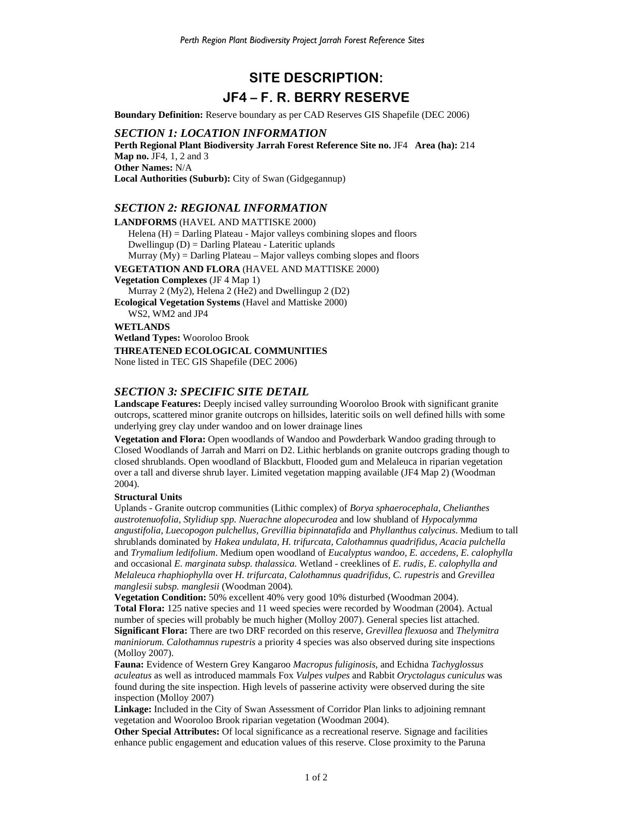# **SITE DESCRIPTION: JF4 – F. R. BERRY RESERVE**

**Boundary Definition:** Reserve boundary as per CAD Reserves GIS Shapefile (DEC 2006)

#### *SECTION 1: LOCATION INFORMATION*

**Perth Regional Plant Biodiversity Jarrah Forest Reference Site no.** JF4 **Area (ha):** 214 **Map no.** JF4, 1, 2 and 3 **Other Names:** N/A **Local Authorities (Suburb):** City of Swan (Gidgegannup)

## *SECTION 2: REGIONAL INFORMATION*

**LANDFORMS** (HAVEL AND MATTISKE 2000) Helena (H) = Darling Plateau - Major valleys combining slopes and floors Dwellingup (D) = Darling Plateau - Lateritic uplands Murray  $(My) =$  Darling Plateau – Major valleys combing slopes and floors **VEGETATION AND FLORA** (HAVEL AND MATTISKE 2000) **Vegetation Complexes** (JF 4 Map 1) Murray 2 (My2), Helena 2 (He2) and Dwellingup 2 (D2) **Ecological Vegetation Systems** (Havel and Mattiske 2000) WS2, WM2 and JP4 **WETLANDS Wetland Types:** Wooroloo Brook **THREATENED ECOLOGICAL COMMUNITIES**  None listed in TEC GIS Shapefile (DEC 2006)

## *SECTION 3: SPECIFIC SITE DETAIL*

**Landscape Features:** Deeply incised valley surrounding Wooroloo Brook with significant granite outcrops, scattered minor granite outcrops on hillsides, lateritic soils on well defined hills with some underlying grey clay under wandoo and on lower drainage lines

**Vegetation and Flora:** Open woodlands of Wandoo and Powderbark Wandoo grading through to Closed Woodlands of Jarrah and Marri on D2. Lithic herblands on granite outcrops grading though to closed shrublands. Open woodland of Blackbutt, Flooded gum and Melaleuca in riparian vegetation over a tall and diverse shrub layer. Limited vegetation mapping available (JF4 Map 2) (Woodman 2004).

#### **Structural Units**

Uplands - Granite outcrop communities (Lithic complex) of *Borya sphaerocephala, Chelianthes austrotenuofolia, Stylidiup spp. Nuerachne alopecurodea* and low shubland of *Hypocalymma angustifolia, Luecopogon pulchellus, Grevillia bipinnatafida* and *Phyllanthus calycinus*. Medium to tall shrublands dominated by *Hakea undulata, H. trifurcata, Calothamnus quadrifidus, Acacia pulchella* and *Trymalium ledifolium*. Medium open woodland of *Eucalyptus wandoo, E. accedens, E. calophylla*  and occasional *E. marginata subsp. thalassica.* Wetland - creeklines of *E. rudis, E. calophylla and Melaleuca rhaphiophylla* over *H. trifurcata, Calothamnus quadrifidus, C. rupestris* and *Grevillea manglesii subsp. manglesii* (Woodman 2004)*.*

**Vegetation Condition:** 50% excellent 40% very good 10% disturbed (Woodman 2004). **Total Flora:** 125 native species and 11 weed species were recorded by Woodman (2004). Actual number of species will probably be much higher (Molloy 2007). General species list attached. **Significant Flora:** There are two DRF recorded on this reserve, *Grevillea flexuosa* and *Thelymitra maniniorum. Calothamnus rupestris* a priority 4 species was also observed during site inspections (Molloy 2007).

**Fauna:** Evidence of Western Grey Kangaroo *Macropus fuliginosis*, and Echidna *Tachyglossus aculeatus* as well as introduced mammals Fox *Vulpes vulpes* and Rabbit *Oryctolagus cuniculus* was found during the site inspection. High levels of passerine activity were observed during the site inspection (Molloy 2007)

**Linkage:** Included in the City of Swan Assessment of Corridor Plan links to adjoining remnant vegetation and Wooroloo Brook riparian vegetation (Woodman 2004).

**Other Special Attributes:** Of local significance as a recreational reserve. Signage and facilities enhance public engagement and education values of this reserve. Close proximity to the Paruna